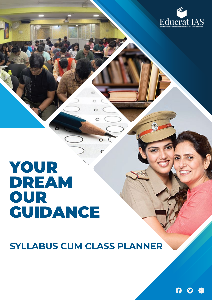

## YOUR DREAM OUR GUIDANCE

**SYLLABUS CUM CLASS PLANNER**

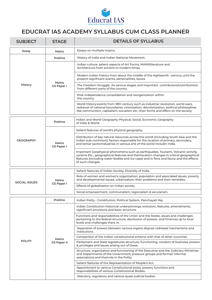

## **EDUCRAT IAS ACADEMY SYLLABUS CUM CLASS PLANNER**

| <b>SUBJECT</b>       | <b>STAGE</b>                | <b>DETAILS OF SYLLABUS</b>                                                                                                                                                                                                                                                              |
|----------------------|-----------------------------|-----------------------------------------------------------------------------------------------------------------------------------------------------------------------------------------------------------------------------------------------------------------------------------------|
| Essay                | Mains                       | Essays on multiple tropics.                                                                                                                                                                                                                                                             |
| History              | <b>Prelims</b>              | History of India and Indian National Movement.                                                                                                                                                                                                                                          |
|                      | Mains<br><b>GS Paper I</b>  | Indian culture: salient aspects of Art Forms, MAINSI terature and<br>Architecture from ancient to modern times.                                                                                                                                                                         |
|                      |                             | Modern Indian history from about the middle of the eighteenth century until the<br>present-significant events, personalities, issues.                                                                                                                                                   |
|                      |                             | The Freedom Struggle -its various stages and important contributors/contributions<br>from different parts of the country.                                                                                                                                                               |
|                      |                             | Post-independence consolidation and reorganization within<br>the country.                                                                                                                                                                                                               |
|                      |                             | World History: events from 18th century such as industrial revolution, world wars,<br>redrawal of national boundaries, colonization, decolonization, political philosophies<br>like communism, capitalism, socialism etc.-their forms and effect on the society.                        |
|                      | <b>Prelims</b>              | Indian and World Geography-Physical, Social, Economic Geography<br>of India & World.                                                                                                                                                                                                    |
|                      | Mains<br><b>GS Paper I</b>  | Salient features of world's physical geography.                                                                                                                                                                                                                                         |
| <b>GEOGRAPHY</b>     |                             | Distribution of key natural resources across the world (including South Asia and the<br>Indian sub-continent); factors responsible for the location of primary, secondary,<br>and tertiar sectorindustries in various arts of the world includin India.                                 |
|                      |                             | Important Geophysical phenomena such as earthquakes, Tsunami, Volcanic activity,<br>cyclone Etc., geographical features and theirlocation-changes in critical geographical<br>features (including water-bodies and ice-caps) and in flora and fauna and the effects<br>of such changes. |
|                      |                             | Salient features of Indian Society, Diversity of India.                                                                                                                                                                                                                                 |
| <b>SOCIAL ISSUES</b> | Mains<br>GS Paper I         | Role of women and women's organization, population and associated issues, poverty<br>and developmental issues, urbanization, their problems and their remedies.                                                                                                                         |
|                      |                             | Effects of globalization on Indian society.                                                                                                                                                                                                                                             |
|                      |                             | Social empowerment, communalism, regionalism & secularism.                                                                                                                                                                                                                              |
|                      | <b>Prelims</b>              | Indian Polity - Constitution, Political System, Panchayati Raj.                                                                                                                                                                                                                         |
| <b>POLITY</b>        | Mains<br><b>GS Paper II</b> | Indian Constitution-historical underpinnings, evolution, features, amendments,<br>significant provisions and basic structure.                                                                                                                                                           |
|                      |                             | Functions and responsibilities of the Union and the States, issues and challenges<br>pertaining to the federal structure, devolution of powers and finances up to local<br>levels and challenges there in.                                                                              |
|                      |                             | Separation of powers between various organs dispute redressal mechanisms and<br>institutions.                                                                                                                                                                                           |
|                      |                             | Comparison of the Indian constitutional scheme with that of other countries.                                                                                                                                                                                                            |
|                      |                             | Parliament and State legislatures-structure, functioning, conduct of business, powers<br>& privileges and issues arising out of these.                                                                                                                                                  |
|                      |                             | Structure, organization and functioning of the Executive and the Judiciary Ministries<br>and Departments of the Government; pressure groups and formal/informal<br>associations and theirrole in the Polity.                                                                            |
|                      |                             | Salient features of the Representation of People's Act.                                                                                                                                                                                                                                 |
|                      |                             | Appointment to various Constitutional posts, powers, functions and<br>responsibilities of various Constitutional Bodies.                                                                                                                                                                |
|                      |                             | Statutory, regulatory and various quasi-judicial bodies.                                                                                                                                                                                                                                |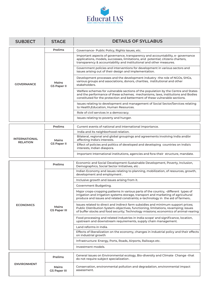

| <b>Prelims</b><br>Governance- Public Policy, Rights Issues, etc.<br>Important aspects of governance, transparency and accountability, e-governance<br>applications, models, successes, limitations, and potential; citizens charters,<br>transparency & accountability and institutional and other measures.<br>Government policies and interventions for development in various sectors and<br>issues arising out of their design and implementation.<br>Development processes and the development industry -the role of NGOs, SHGs,<br>various groups and associations, donors, charities, institutional and other<br>Mains<br><b>GOVERNANCE</b><br>stakeholders.<br><b>GS Paper II</b><br>Welfare schemes for vulnerable sections of the population by the Centre and States<br>and the performance of these schemes; mechanisms, laws, institutions and Bodies<br>constituted for the protection and betterment of these vulnerable sections.<br>Issues relating to development and management of Social Sector/Services relating<br>to Health, Education, Human Resources. |  |  |  |  |  |
|---------------------------------------------------------------------------------------------------------------------------------------------------------------------------------------------------------------------------------------------------------------------------------------------------------------------------------------------------------------------------------------------------------------------------------------------------------------------------------------------------------------------------------------------------------------------------------------------------------------------------------------------------------------------------------------------------------------------------------------------------------------------------------------------------------------------------------------------------------------------------------------------------------------------------------------------------------------------------------------------------------------------------------------------------------------------------------|--|--|--|--|--|
|                                                                                                                                                                                                                                                                                                                                                                                                                                                                                                                                                                                                                                                                                                                                                                                                                                                                                                                                                                                                                                                                                 |  |  |  |  |  |
|                                                                                                                                                                                                                                                                                                                                                                                                                                                                                                                                                                                                                                                                                                                                                                                                                                                                                                                                                                                                                                                                                 |  |  |  |  |  |
|                                                                                                                                                                                                                                                                                                                                                                                                                                                                                                                                                                                                                                                                                                                                                                                                                                                                                                                                                                                                                                                                                 |  |  |  |  |  |
|                                                                                                                                                                                                                                                                                                                                                                                                                                                                                                                                                                                                                                                                                                                                                                                                                                                                                                                                                                                                                                                                                 |  |  |  |  |  |
|                                                                                                                                                                                                                                                                                                                                                                                                                                                                                                                                                                                                                                                                                                                                                                                                                                                                                                                                                                                                                                                                                 |  |  |  |  |  |
|                                                                                                                                                                                                                                                                                                                                                                                                                                                                                                                                                                                                                                                                                                                                                                                                                                                                                                                                                                                                                                                                                 |  |  |  |  |  |
| Role of civil services in a democracy.                                                                                                                                                                                                                                                                                                                                                                                                                                                                                                                                                                                                                                                                                                                                                                                                                                                                                                                                                                                                                                          |  |  |  |  |  |
| Issues relating to poverty and hunger.                                                                                                                                                                                                                                                                                                                                                                                                                                                                                                                                                                                                                                                                                                                                                                                                                                                                                                                                                                                                                                          |  |  |  |  |  |
| <b>Prelims</b><br>Current events of national and international importance.                                                                                                                                                                                                                                                                                                                                                                                                                                                                                                                                                                                                                                                                                                                                                                                                                                                                                                                                                                                                      |  |  |  |  |  |
| India and its neighborhood-relation.                                                                                                                                                                                                                                                                                                                                                                                                                                                                                                                                                                                                                                                                                                                                                                                                                                                                                                                                                                                                                                            |  |  |  |  |  |
| Bilateral, regional and global groupings and agreements involving India and/or<br><b>INTERNATIONAL</b><br>affecting India's interests.<br>Mains                                                                                                                                                                                                                                                                                                                                                                                                                                                                                                                                                                                                                                                                                                                                                                                                                                                                                                                                 |  |  |  |  |  |
| <b>RELATION</b><br><b>GS Paper II</b><br>Effect of policies and politics of developed and developing countries on India's<br>interests, Indian diaspora.                                                                                                                                                                                                                                                                                                                                                                                                                                                                                                                                                                                                                                                                                                                                                                                                                                                                                                                        |  |  |  |  |  |
| Important International institutions, agencies and fora-their structure, mandate.                                                                                                                                                                                                                                                                                                                                                                                                                                                                                                                                                                                                                                                                                                                                                                                                                                                                                                                                                                                               |  |  |  |  |  |
| Economic and Social Development-Sustainable Development, Poverty, Inclusion,                                                                                                                                                                                                                                                                                                                                                                                                                                                                                                                                                                                                                                                                                                                                                                                                                                                                                                                                                                                                    |  |  |  |  |  |
| <b>Prelims</b><br>Demographics, Social Sector Initiatives, etc.                                                                                                                                                                                                                                                                                                                                                                                                                                                                                                                                                                                                                                                                                                                                                                                                                                                                                                                                                                                                                 |  |  |  |  |  |
| Indian Economy and issues relating to planning, mobilization, of resources, growth,<br>development and employment.                                                                                                                                                                                                                                                                                                                                                                                                                                                                                                                                                                                                                                                                                                                                                                                                                                                                                                                                                              |  |  |  |  |  |
| Inclusive growth and issues arising from it.                                                                                                                                                                                                                                                                                                                                                                                                                                                                                                                                                                                                                                                                                                                                                                                                                                                                                                                                                                                                                                    |  |  |  |  |  |
| Government Budgeting.                                                                                                                                                                                                                                                                                                                                                                                                                                                                                                                                                                                                                                                                                                                                                                                                                                                                                                                                                                                                                                                           |  |  |  |  |  |
| Major crops-cropping patterns in various parts of the country, -different types of<br>irrigation and irrigation systems storage, transport and marketing of agricultural<br>produce and issues and related constraints; e-technology in the aid of farmers                                                                                                                                                                                                                                                                                                                                                                                                                                                                                                                                                                                                                                                                                                                                                                                                                      |  |  |  |  |  |
| Issues related to direct and indirect farm subsidies and minimum support prices;<br><b>ECONOMICS</b><br>Mains<br>Public Distribution System-objectives, functioning, limitations, revamping; issues<br><b>GS Paper III</b><br>of buffer stocks and food security; Technology missions; economics of animal-rearing                                                                                                                                                                                                                                                                                                                                                                                                                                                                                                                                                                                                                                                                                                                                                              |  |  |  |  |  |
| Food processing and related industries in India-scope' and significance, location,<br>upstream and downstream requirements, supply chain management.                                                                                                                                                                                                                                                                                                                                                                                                                                                                                                                                                                                                                                                                                                                                                                                                                                                                                                                            |  |  |  |  |  |
| Land reforms in India.                                                                                                                                                                                                                                                                                                                                                                                                                                                                                                                                                                                                                                                                                                                                                                                                                                                                                                                                                                                                                                                          |  |  |  |  |  |
| Effects of liberalization on the economy, changes in industrial policy and their effects<br>on industrial growth                                                                                                                                                                                                                                                                                                                                                                                                                                                                                                                                                                                                                                                                                                                                                                                                                                                                                                                                                                |  |  |  |  |  |
| Infrastructure: Energy, Ports, Roads, Airports, Railways etc.                                                                                                                                                                                                                                                                                                                                                                                                                                                                                                                                                                                                                                                                                                                                                                                                                                                                                                                                                                                                                   |  |  |  |  |  |
| Investment models.                                                                                                                                                                                                                                                                                                                                                                                                                                                                                                                                                                                                                                                                                                                                                                                                                                                                                                                                                                                                                                                              |  |  |  |  |  |
| General issues on Environmental ecology, Bio-diversity and Climate Change -that<br><b>Prelims</b><br>do not require subject specialization.                                                                                                                                                                                                                                                                                                                                                                                                                                                                                                                                                                                                                                                                                                                                                                                                                                                                                                                                     |  |  |  |  |  |
| <b>ENVIRONMENT</b><br>Conservation, environmental pollution and degradation, environmental impact<br>Mains<br>assessment.<br><b>GS Paper III</b>                                                                                                                                                                                                                                                                                                                                                                                                                                                                                                                                                                                                                                                                                                                                                                                                                                                                                                                                |  |  |  |  |  |